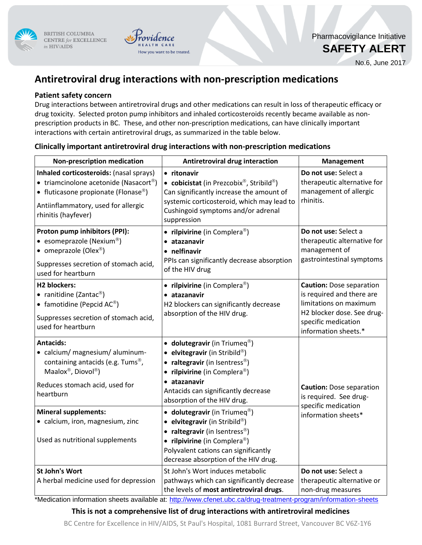

BRITISH COLUMBIA CENTRE for EXCELLENCE in HIV/AIDS



Pharmacovigilance Initiative

**SAFETY ALERT**

No.6, June 2017

# **Antiretroviral drug interactions with non-prescription medications**

## **Patient safety concern**

Drug interactions between antiretroviral drugs and other medications can result in loss of therapeutic efficacy or drug toxicity. Selected proton pump inhibitors and inhaled corticosteroids recently became available as nonprescription products in BC. These, and other non-prescription medications, can have clinically important interactions with certain antiretroviral drugs, as summarized in the table below.

| <b>Non-prescription medication</b>                                                                                                                                                                                                                                             | <b>Antiretroviral drug interaction</b>                                                                                                                                                                                                                                                                                                                                                                                                                | <b>Management</b>                                                                                                                                                   |
|--------------------------------------------------------------------------------------------------------------------------------------------------------------------------------------------------------------------------------------------------------------------------------|-------------------------------------------------------------------------------------------------------------------------------------------------------------------------------------------------------------------------------------------------------------------------------------------------------------------------------------------------------------------------------------------------------------------------------------------------------|---------------------------------------------------------------------------------------------------------------------------------------------------------------------|
| Inhaled corticosteroids: (nasal sprays)<br>• triamcinolone acetonide (Nasacort®)<br>• fluticasone propionate (Flonase®)<br>Antiinflammatory, used for allergic<br>rhinitis (hayfever)                                                                                          | • ritonavir<br>• cobicistat (in Prezcobix®, Stribild®)<br>Can significantly increase the amount of<br>systemic corticosteroid, which may lead to<br>Cushingoid symptoms and/or adrenal<br>suppression                                                                                                                                                                                                                                                 | Do not use: Select a<br>therapeutic alternative for<br>management of allergic<br>rhinitis.                                                                          |
| Proton pump inhibitors (PPI):<br>• esomeprazole (Nexium®)<br>• omeprazole (Olex®)<br>Suppresses secretion of stomach acid,<br>used for heartburn                                                                                                                               | • rilpivirine (in Complera®)<br>· atazanavir<br>• nelfinavir<br>PPIs can significantly decrease absorption<br>of the HIV drug                                                                                                                                                                                                                                                                                                                         | Do not use: Select a<br>therapeutic alternative for<br>management of<br>gastrointestinal symptoms                                                                   |
| <b>H2 blockers:</b><br>• ranitidine (Zantac®)<br>• famotidine (Pepcid $AC^{\circledR}$ )<br>Suppresses secretion of stomach acid,<br>used for heartburn                                                                                                                        | • rilpivirine (in Complera®)<br>• atazanavir<br>H2 blockers can significantly decrease<br>absorption of the HIV drug.                                                                                                                                                                                                                                                                                                                                 | <b>Caution:</b> Dose separation<br>is required and there are<br>limitations on maximum<br>H2 blocker dose. See drug-<br>specific medication<br>information sheets.* |
| <b>Antacids:</b><br>• calcium/ magnesium/ aluminum-<br>containing antacids (e.g. Tums <sup>®</sup> ,<br>Maalox®, Diovol®)<br>Reduces stomach acid, used for<br>heartburn<br><b>Mineral supplements:</b><br>• calcium, iron, magnesium, zinc<br>Used as nutritional supplements | • dolutegravir (in Triumeq®)<br>• elvitegravir (in Stribild®)<br>• raltegravir (in Isentress®)<br>• rilpivirine (in Complera®)<br>· atazanavir<br>Antacids can significantly decrease<br>absorption of the HIV drug.<br>• dolutegravir (in Triumeq $^{\circledR}$ )<br>• elvitegravir (in Stribild®)<br>• raltegravir (in Isentress®)<br>• rilpivirine (in Complera®)<br>Polyvalent cations can significantly<br>decrease absorption of the HIV drug. | <b>Caution: Dose separation</b><br>is required. See drug-<br>specific medication<br>information sheets*                                                             |
| <b>St John's Wort</b><br>A herbal medicine used for depression                                                                                                                                                                                                                 | St John's Wort induces metabolic<br>pathways which can significantly decrease<br>the levels of most antiretroviral drugs.<br>*Medication information sheets available at: http://www.cfenet.ubc.ca/drug-treatment-program/information-sheets                                                                                                                                                                                                          | Do not use: Select a<br>therapeutic alternative or<br>non-drug measures                                                                                             |

## **Clinically important antiretroviral drug interactions with non-prescription medications**

### **This is not a comprehensive list of drug interactions with antiretroviral medicines**

BC Centre for Excellence in HIV/AIDS, St Paul's Hospital, 1081 Burrard Street, Vancouver BC V6Z-1Y6